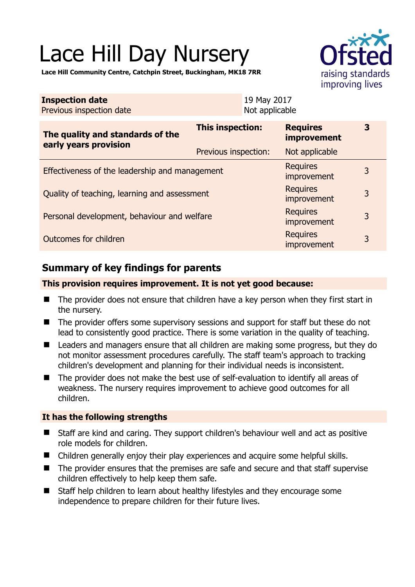# Lace Hill Day Nursery



**Lace Hill Community Centre, Catchpin Street, Buckingham, MK18 7RR** 

| <b>Inspection date</b><br>Previous inspection date        |                         | 19 May 2017<br>Not applicable |                                |   |
|-----------------------------------------------------------|-------------------------|-------------------------------|--------------------------------|---|
| The quality and standards of the<br>early years provision | <b>This inspection:</b> |                               | <b>Requires</b><br>improvement | 3 |
|                                                           | Previous inspection:    |                               | Not applicable                 |   |
| Effectiveness of the leadership and management            |                         |                               | <b>Requires</b><br>improvement | 3 |
| Quality of teaching, learning and assessment              |                         |                               | <b>Requires</b><br>improvement | 3 |
| Personal development, behaviour and welfare               |                         |                               | <b>Requires</b><br>improvement | 3 |
| <b>Requires</b><br>Outcomes for children<br>improvement   |                         |                               |                                | 3 |

# **Summary of key findings for parents**

#### **This provision requires improvement. It is not yet good because:**

- The provider does not ensure that children have a key person when they first start in the nursery.
- The provider offers some supervisory sessions and support for staff but these do not lead to consistently good practice. There is some variation in the quality of teaching.
- Leaders and managers ensure that all children are making some progress, but they do not monitor assessment procedures carefully. The staff team's approach to tracking children's development and planning for their individual needs is inconsistent.
- The provider does not make the best use of self-evaluation to identify all areas of weakness. The nursery requires improvement to achieve good outcomes for all children.

## **It has the following strengths**

- Staff are kind and caring. They support children's behaviour well and act as positive role models for children.
- Children generally enjoy their play experiences and acquire some helpful skills.
- The provider ensures that the premises are safe and secure and that staff supervise children effectively to help keep them safe.
- Staff help children to learn about healthy lifestyles and they encourage some independence to prepare children for their future lives.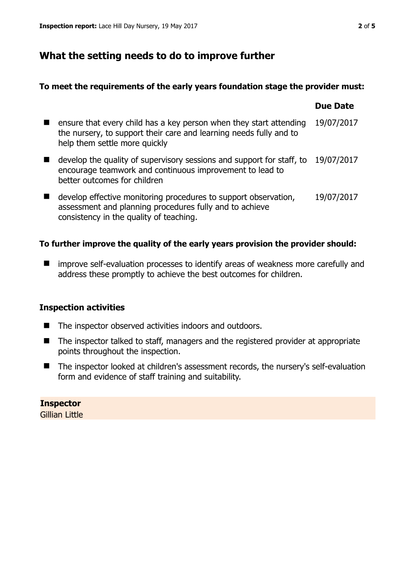## **What the setting needs to do to improve further**

#### **To meet the requirements of the early years foundation stage the provider must:**

|                                                                                                                                                                           | <b>Due Date</b> |
|---------------------------------------------------------------------------------------------------------------------------------------------------------------------------|-----------------|
| ensure that every child has a key person when they start attending<br>the nursery, to support their care and learning needs fully and to<br>help them settle more quickly | 19/07/2017      |
| develop the quality of supervisory sessions and support for staff, to<br>encourage teamwork and continuous improvement to lead to<br>better outcomes for children         | 19/07/2017      |
| develop effective monitoring procedures to support observation,<br>assessment and planning procedures fully and to achieve<br>consistency in the quality of teaching.     | 19/07/2017      |

## **To further improve the quality of the early years provision the provider should:**

**I** improve self-evaluation processes to identify areas of weakness more carefully and address these promptly to achieve the best outcomes for children.

#### **Inspection activities**

- The inspector observed activities indoors and outdoors.
- The inspector talked to staff, managers and the registered provider at appropriate points throughout the inspection.
- The inspector looked at children's assessment records, the nursery's self-evaluation form and evidence of staff training and suitability.

**Inspector**  Gillian Little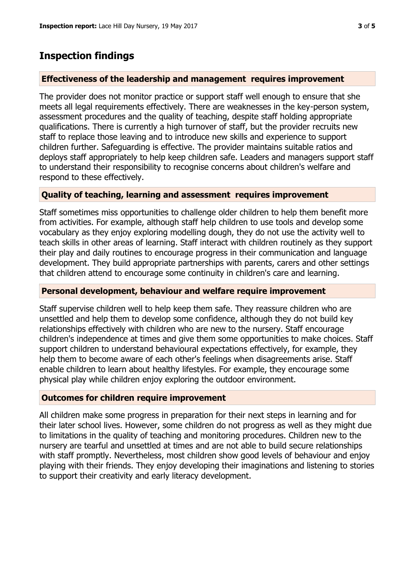## **Inspection findings**

#### **Effectiveness of the leadership and management requires improvement**

The provider does not monitor practice or support staff well enough to ensure that she meets all legal requirements effectively. There are weaknesses in the key-person system, assessment procedures and the quality of teaching, despite staff holding appropriate qualifications. There is currently a high turnover of staff, but the provider recruits new staff to replace those leaving and to introduce new skills and experience to support children further. Safeguarding is effective. The provider maintains suitable ratios and deploys staff appropriately to help keep children safe. Leaders and managers support staff to understand their responsibility to recognise concerns about children's welfare and respond to these effectively.

#### **Quality of teaching, learning and assessment requires improvement**

Staff sometimes miss opportunities to challenge older children to help them benefit more from activities. For example, although staff help children to use tools and develop some vocabulary as they enjoy exploring modelling dough, they do not use the activity well to teach skills in other areas of learning. Staff interact with children routinely as they support their play and daily routines to encourage progress in their communication and language development. They build appropriate partnerships with parents, carers and other settings that children attend to encourage some continuity in children's care and learning.

#### **Personal development, behaviour and welfare require improvement**

Staff supervise children well to help keep them safe. They reassure children who are unsettled and help them to develop some confidence, although they do not build key relationships effectively with children who are new to the nursery. Staff encourage children's independence at times and give them some opportunities to make choices. Staff support children to understand behavioural expectations effectively, for example, they help them to become aware of each other's feelings when disagreements arise. Staff enable children to learn about healthy lifestyles. For example, they encourage some physical play while children enjoy exploring the outdoor environment.

#### **Outcomes for children require improvement**

All children make some progress in preparation for their next steps in learning and for their later school lives. However, some children do not progress as well as they might due to limitations in the quality of teaching and monitoring procedures. Children new to the nursery are tearful and unsettled at times and are not able to build secure relationships with staff promptly. Nevertheless, most children show good levels of behaviour and enjoy playing with their friends. They enjoy developing their imaginations and listening to stories to support their creativity and early literacy development.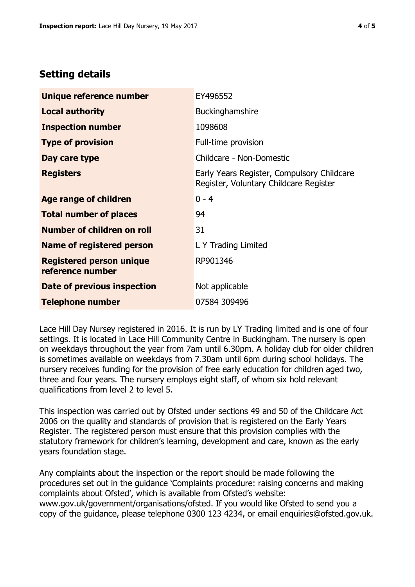## **Setting details**

| Unique reference number                             | EY496552                                                                             |
|-----------------------------------------------------|--------------------------------------------------------------------------------------|
| <b>Local authority</b>                              | Buckinghamshire                                                                      |
| <b>Inspection number</b>                            | 1098608                                                                              |
| <b>Type of provision</b>                            | Full-time provision                                                                  |
| Day care type                                       | Childcare - Non-Domestic                                                             |
| <b>Registers</b>                                    | Early Years Register, Compulsory Childcare<br>Register, Voluntary Childcare Register |
| Age range of children                               | $0 - 4$                                                                              |
| <b>Total number of places</b>                       | 94                                                                                   |
| Number of children on roll                          | 31                                                                                   |
| Name of registered person                           | L Y Trading Limited                                                                  |
| <b>Registered person unique</b><br>reference number | RP901346                                                                             |
| Date of previous inspection                         | Not applicable                                                                       |
| <b>Telephone number</b>                             | 07584 309496                                                                         |

Lace Hill Day Nursey registered in 2016. It is run by LY Trading limited and is one of four settings. It is located in Lace Hill Community Centre in Buckingham. The nursery is open on weekdays throughout the year from 7am until 6.30pm. A holiday club for older children is sometimes available on weekdays from 7.30am until 6pm during school holidays. The nursery receives funding for the provision of free early education for children aged two, three and four years. The nursery employs eight staff, of whom six hold relevant qualifications from level 2 to level 5.

This inspection was carried out by Ofsted under sections 49 and 50 of the Childcare Act 2006 on the quality and standards of provision that is registered on the Early Years Register. The registered person must ensure that this provision complies with the statutory framework for children's learning, development and care, known as the early years foundation stage.

Any complaints about the inspection or the report should be made following the procedures set out in the guidance 'Complaints procedure: raising concerns and making complaints about Ofsted', which is available from Ofsted's website: www.gov.uk/government/organisations/ofsted. If you would like Ofsted to send you a copy of the guidance, please telephone 0300 123 4234, or email enquiries@ofsted.gov.uk.